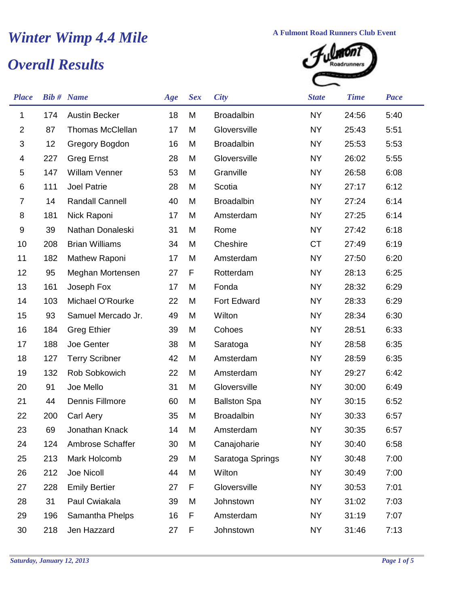## *Winter Wimp 4.4 Mile* **A Fulmont Road Runners Club Event**<br> *A* Fulmont Road Runners Club Event<br> *A* Fulmont Results

## *Overall Results*



| <b>Place</b>              |     | <b>Bib #</b> Name       | Age | <b>Sex</b> | <b>City</b>         | <b>State</b> | <b>Time</b> | <b>Pace</b> |
|---------------------------|-----|-------------------------|-----|------------|---------------------|--------------|-------------|-------------|
| 1                         | 174 | <b>Austin Becker</b>    | 18  | M          | <b>Broadalbin</b>   | <b>NY</b>    | 24:56       | 5:40        |
| $\boldsymbol{2}$          | 87  | <b>Thomas McClellan</b> | 17  | M          | Gloversville        | <b>NY</b>    | 25:43       | 5:51        |
| $\ensuremath{\mathsf{3}}$ | 12  | Gregory Bogdon          | 16  | M          | <b>Broadalbin</b>   | <b>NY</b>    | 25:53       | 5:53        |
| 4                         | 227 | <b>Greg Ernst</b>       | 28  | M          | Gloversville        | <b>NY</b>    | 26:02       | 5:55        |
| $\mathbf 5$               | 147 | <b>Willam Venner</b>    | 53  | M          | Granville           | <b>NY</b>    | 26:58       | 6:08        |
| 6                         | 111 | <b>Joel Patrie</b>      | 28  | M          | Scotia              | <b>NY</b>    | 27:17       | 6:12        |
| $\overline{7}$            | 14  | Randall Cannell         | 40  | M          | <b>Broadalbin</b>   | <b>NY</b>    | 27:24       | 6:14        |
| 8                         | 181 | Nick Raponi             | 17  | M          | Amsterdam           | <b>NY</b>    | 27:25       | 6:14        |
| 9                         | 39  | Nathan Donaleski        | 31  | M          | Rome                | <b>NY</b>    | 27:42       | 6:18        |
| 10                        | 208 | <b>Brian Williams</b>   | 34  | M          | Cheshire            | <b>CT</b>    | 27:49       | 6:19        |
| 11                        | 182 | Mathew Raponi           | 17  | M          | Amsterdam           | <b>NY</b>    | 27:50       | 6:20        |
| 12                        | 95  | Meghan Mortensen        | 27  | F          | Rotterdam           | <b>NY</b>    | 28:13       | 6:25        |
| 13                        | 161 | Joseph Fox              | 17  | M          | Fonda               | <b>NY</b>    | 28:32       | 6:29        |
| 14                        | 103 | Michael O'Rourke        | 22  | M          | Fort Edward         | <b>NY</b>    | 28:33       | 6:29        |
| 15                        | 93  | Samuel Mercado Jr.      | 49  | M          | Wilton              | <b>NY</b>    | 28:34       | 6:30        |
| 16                        | 184 | <b>Greg Ethier</b>      | 39  | M          | Cohoes              | <b>NY</b>    | 28:51       | 6:33        |
| 17                        | 188 | Joe Genter              | 38  | M          | Saratoga            | <b>NY</b>    | 28:58       | 6:35        |
| 18                        | 127 | <b>Terry Scribner</b>   | 42  | M          | Amsterdam           | <b>NY</b>    | 28:59       | 6:35        |
| 19                        | 132 | Rob Sobkowich           | 22  | M          | Amsterdam           | <b>NY</b>    | 29:27       | 6:42        |
| 20                        | 91  | Joe Mello               | 31  | M          | Gloversville        | <b>NY</b>    | 30:00       | 6:49        |
| 21                        | 44  | Dennis Fillmore         | 60  | M          | <b>Ballston Spa</b> | <b>NY</b>    | 30:15       | 6:52        |
| 22                        | 200 | Carl Aery               | 35  | M          | <b>Broadalbin</b>   | <b>NY</b>    | 30:33       | 6:57        |
| 23                        | 69  | Jonathan Knack          | 14  | M          | Amsterdam           | <b>NY</b>    | 30:35       | 6:57        |
| 24                        | 124 | Ambrose Schaffer        | 30  | M          | Canajoharie         | <b>NY</b>    | 30:40       | 6:58        |
| 25                        | 213 | Mark Holcomb            | 29  | M          | Saratoga Springs    | NY           | 30:48       | 7:00        |
| 26                        | 212 | Joe Nicoll              | 44  | M          | Wilton              | <b>NY</b>    | 30:49       | 7:00        |
| 27                        | 228 | <b>Emily Bertier</b>    | 27  | F          | Gloversville        | <b>NY</b>    | 30:53       | 7:01        |
| 28                        | 31  | Paul Cwiakala           | 39  | M          | Johnstown           | <b>NY</b>    | 31:02       | 7:03        |
| 29                        | 196 | Samantha Phelps         | 16  | F          | Amsterdam           | <b>NY</b>    | 31:19       | 7:07        |
| 30                        | 218 | Jen Hazzard             | 27  | F          | Johnstown           | <b>NY</b>    | 31:46       | 7:13        |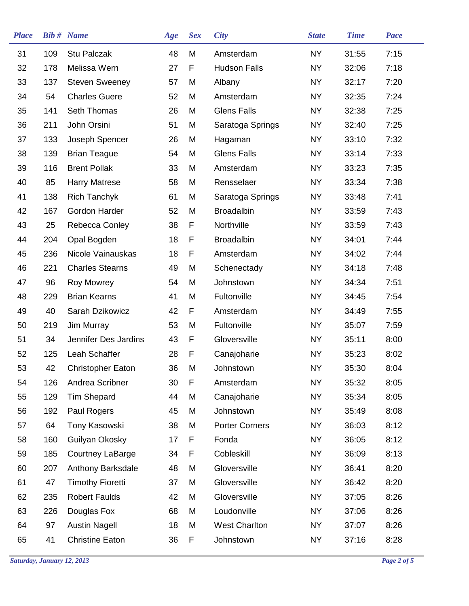| <b>Place</b> |     | <b>Bib#</b> Name         | Age | <b>Sex</b> | <b>City</b>           | <b>State</b> | <b>Time</b> | <b>Pace</b> |  |
|--------------|-----|--------------------------|-----|------------|-----------------------|--------------|-------------|-------------|--|
| 31           | 109 | Stu Palczak              | 48  | M          | Amsterdam             | <b>NY</b>    | 31:55       | 7:15        |  |
| 32           | 178 | Melissa Wern             | 27  | F          | <b>Hudson Falls</b>   | <b>NY</b>    | 32:06       | 7:18        |  |
| 33           | 137 | <b>Steven Sweeney</b>    | 57  | M          | Albany                | <b>NY</b>    | 32:17       | 7:20        |  |
| 34           | 54  | <b>Charles Guere</b>     | 52  | M          | Amsterdam             | <b>NY</b>    | 32:35       | 7:24        |  |
| 35           | 141 | Seth Thomas              | 26  | M          | <b>Glens Falls</b>    | <b>NY</b>    | 32:38       | 7:25        |  |
| 36           | 211 | John Orsini              | 51  | M          | Saratoga Springs      | NY           | 32:40       | 7:25        |  |
| 37           | 133 | Joseph Spencer           | 26  | M          | Hagaman               | <b>NY</b>    | 33:10       | 7:32        |  |
| 38           | 139 | <b>Brian Teague</b>      | 54  | M          | <b>Glens Falls</b>    | <b>NY</b>    | 33:14       | 7:33        |  |
| 39           | 116 | <b>Brent Pollak</b>      | 33  | M          | Amsterdam             | <b>NY</b>    | 33:23       | 7:35        |  |
| 40           | 85  | <b>Harry Matrese</b>     | 58  | M          | Rensselaer            | <b>NY</b>    | 33:34       | 7:38        |  |
| 41           | 138 | <b>Rich Tanchyk</b>      | 61  | M          | Saratoga Springs      | <b>NY</b>    | 33:48       | 7:41        |  |
| 42           | 167 | Gordon Harder            | 52  | M          | <b>Broadalbin</b>     | <b>NY</b>    | 33:59       | 7:43        |  |
| 43           | 25  | Rebecca Conley           | 38  | F          | Northville            | <b>NY</b>    | 33:59       | 7:43        |  |
| 44           | 204 | Opal Bogden              | 18  | F          | <b>Broadalbin</b>     | <b>NY</b>    | 34:01       | 7:44        |  |
| 45           | 236 | Nicole Vainauskas        | 18  | F          | Amsterdam             | <b>NY</b>    | 34:02       | 7:44        |  |
| 46           | 221 | <b>Charles Stearns</b>   | 49  | M          | Schenectady           | NY           | 34:18       | 7:48        |  |
| 47           | 96  | <b>Roy Mowrey</b>        | 54  | M          | Johnstown             | <b>NY</b>    | 34:34       | 7:51        |  |
| 48           | 229 | <b>Brian Kearns</b>      | 41  | M          | Fultonville           | <b>NY</b>    | 34:45       | 7:54        |  |
| 49           | 40  | Sarah Dzikowicz          | 42  | F          | Amsterdam             | <b>NY</b>    | 34:49       | 7:55        |  |
| 50           | 219 | Jim Murray               | 53  | M          | Fultonville           | <b>NY</b>    | 35:07       | 7:59        |  |
| 51           | 34  | Jennifer Des Jardins     | 43  | F          | Gloversville          | <b>NY</b>    | 35:11       | 8:00        |  |
| 52           | 125 | Leah Schaffer            | 28  | F          | Canajoharie           | <b>NY</b>    | 35:23       | 8:02        |  |
| 53           | 42  | <b>Christopher Eaton</b> | 36  | M          | Johnstown             | <b>NY</b>    | 35:30       | 8:04        |  |
| 54           | 126 | Andrea Scribner          | 30  | F          | Amsterdam             | <b>NY</b>    | 35:32       | 8:05        |  |
| 55           | 129 | <b>Tim Shepard</b>       | 44  | M          | Canajoharie           | <b>NY</b>    | 35:34       | 8:05        |  |
| 56           | 192 | Paul Rogers              | 45  | M          | Johnstown             | <b>NY</b>    | 35:49       | 8:08        |  |
| 57           | 64  | Tony Kasowski            | 38  | M          | <b>Porter Corners</b> | <b>NY</b>    | 36:03       | 8:12        |  |
| 58           | 160 | Guilyan Okosky           | 17  | F          | Fonda                 | <b>NY</b>    | 36:05       | 8:12        |  |
| 59           | 185 | Courtney LaBarge         | 34  | F          | Cobleskill            | NY           | 36:09       | 8:13        |  |
| 60           | 207 | Anthony Barksdale        | 48  | M          | Gloversville          | <b>NY</b>    | 36:41       | 8:20        |  |
| 61           | 47  | <b>Timothy Fioretti</b>  | 37  | M          | Gloversville          | <b>NY</b>    | 36:42       | 8:20        |  |
| 62           | 235 | <b>Robert Faulds</b>     | 42  | M          | Gloversville          | <b>NY</b>    | 37:05       | 8:26        |  |
| 63           | 226 | Douglas Fox              | 68  | M          | Loudonville           | <b>NY</b>    | 37:06       | 8:26        |  |
| 64           | 97  | <b>Austin Nagell</b>     | 18  | M          | <b>West Charlton</b>  | NY           | 37:07       | 8:26        |  |
| 65           | 41  | <b>Christine Eaton</b>   | 36  | F          | Johnstown             | NY           | 37:16       | 8:28        |  |
|              |     |                          |     |            |                       |              |             |             |  |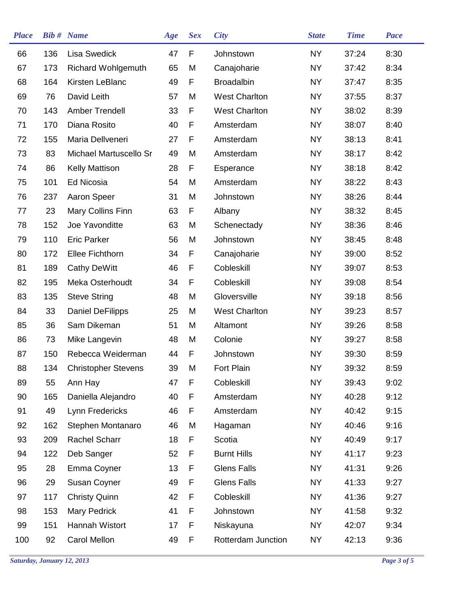| <b>Place</b> |     | <b>Bib#</b> Name           | Age | <b>Sex</b> | <b>City</b>          | <b>State</b> | <b>Time</b> | <b>Pace</b> |
|--------------|-----|----------------------------|-----|------------|----------------------|--------------|-------------|-------------|
| 66           | 136 | <b>Lisa Swedick</b>        | 47  | F          | Johnstown            | <b>NY</b>    | 37:24       | 8:30        |
| 67           | 173 | <b>Richard Wohlgemuth</b>  | 65  | M          | Canajoharie          | <b>NY</b>    | 37:42       | 8:34        |
| 68           | 164 | Kirsten LeBlanc            | 49  | F          | <b>Broadalbin</b>    | <b>NY</b>    | 37:47       | 8:35        |
| 69           | 76  | David Leith                | 57  | M          | <b>West Charlton</b> | <b>NY</b>    | 37:55       | 8:37        |
| 70           | 143 | <b>Amber Trendell</b>      | 33  | F          | <b>West Charlton</b> | <b>NY</b>    | 38:02       | 8:39        |
| 71           | 170 | Diana Rosito               | 40  | F          | Amsterdam            | NY.          | 38:07       | 8:40        |
| 72           | 155 | Maria Dellveneri           | 27  | F          | Amsterdam            | <b>NY</b>    | 38:13       | 8:41        |
| 73           | 83  | Michael Martuscello Sr     | 49  | M          | Amsterdam            | NY.          | 38:17       | 8:42        |
| 74           | 86  | <b>Kelly Mattison</b>      | 28  | F          | Esperance            | <b>NY</b>    | 38:18       | 8:42        |
| 75           | 101 | Ed Nicosia                 | 54  | M          | Amsterdam            | <b>NY</b>    | 38:22       | 8:43        |
| 76           | 237 | Aaron Speer                | 31  | M          | Johnstown            | <b>NY</b>    | 38:26       | 8:44        |
| 77           | 23  | Mary Collins Finn          | 63  | F          | Albany               | <b>NY</b>    | 38:32       | 8:45        |
| 78           | 152 | Joe Yavonditte             | 63  | M          | Schenectady          | <b>NY</b>    | 38:36       | 8:46        |
| 79           | 110 | <b>Eric Parker</b>         | 56  | M          | Johnstown            | <b>NY</b>    | 38:45       | 8:48        |
| 80           | 172 | <b>Ellee Fichthorn</b>     | 34  | F          | Canajoharie          | <b>NY</b>    | 39:00       | 8:52        |
| 81           | 189 | <b>Cathy DeWitt</b>        | 46  | F          | Cobleskill           | <b>NY</b>    | 39:07       | 8:53        |
| 82           | 195 | Meka Osterhoudt            | 34  | F          | Cobleskill           | <b>NY</b>    | 39:08       | 8:54        |
| 83           | 135 | <b>Steve String</b>        | 48  | M          | Gloversville         | <b>NY</b>    | 39:18       | 8:56        |
| 84           | 33  | <b>Daniel DeFilipps</b>    | 25  | M          | <b>West Charlton</b> | <b>NY</b>    | 39:23       | 8:57        |
| 85           | 36  | Sam Dikeman                | 51  | M          | Altamont             | <b>NY</b>    | 39:26       | 8:58        |
| 86           | 73  | Mike Langevin              | 48  | M          | Colonie              | <b>NY</b>    | 39:27       | 8:58        |
| 87           | 150 | Rebecca Weiderman          | 44  | F          | Johnstown            | <b>NY</b>    | 39:30       | 8:59        |
| 88           | 134 | <b>Christopher Stevens</b> | 39  | M          | Fort Plain           | <b>NY</b>    | 39:32       | 8:59        |
| 89           | 55  | Ann Hay                    | 47  | F          | Cobleskill           | <b>NY</b>    | 39:43       | 9:02        |
| 90           | 165 | Daniella Alejandro         | 40  | F          | Amsterdam            | <b>NY</b>    | 40:28       | 9:12        |
| 91           | 49  | Lynn Fredericks            | 46  | F          | Amsterdam            | <b>NY</b>    | 40:42       | 9:15        |
| 92           | 162 | Stephen Montanaro          | 46  | M          | Hagaman              | <b>NY</b>    | 40:46       | 9:16        |
| 93           | 209 | <b>Rachel Scharr</b>       | 18  | F          | Scotia               | <b>NY</b>    | 40:49       | 9:17        |
| 94           | 122 | Deb Sanger                 | 52  | F          | <b>Burnt Hills</b>   | <b>NY</b>    | 41:17       | 9:23        |
| 95           | 28  | Emma Coyner                | 13  | F          | <b>Glens Falls</b>   | <b>NY</b>    | 41:31       | 9:26        |
| 96           | 29  | Susan Coyner               | 49  | F          | <b>Glens Falls</b>   | <b>NY</b>    | 41:33       | 9:27        |
| 97           | 117 | <b>Christy Quinn</b>       | 42  | F          | Cobleskill           | <b>NY</b>    | 41:36       | 9:27        |
| 98           | 153 | Mary Pedrick               | 41  | F          | Johnstown            | <b>NY</b>    | 41:58       | 9:32        |
| 99           | 151 | Hannah Wistort             | 17  | F          | Niskayuna            | NY           | 42:07       | 9:34        |
| 100          | 92  | Carol Mellon               | 49  | F          | Rotterdam Junction   | <b>NY</b>    | 42:13       | 9:36        |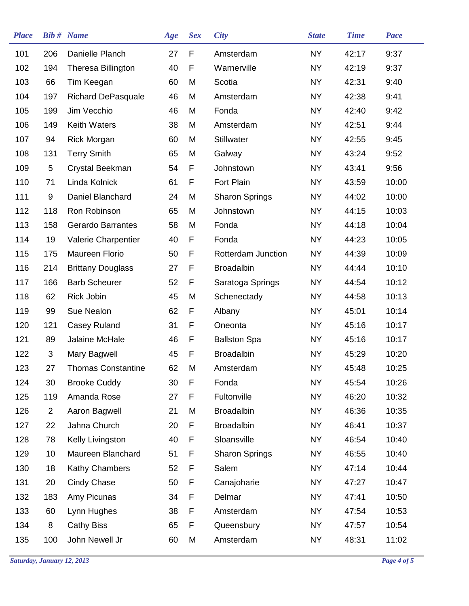| <b>Place</b> |                 | <b>Bib#</b> Name          | Age | <b>Sex</b> | <b>City</b>           | <b>State</b> | <b>Time</b> | Pace  |
|--------------|-----------------|---------------------------|-----|------------|-----------------------|--------------|-------------|-------|
| 101          | 206             | Danielle Planch           | 27  | F          | Amsterdam             | <b>NY</b>    | 42:17       | 9:37  |
| 102          | 194             | Theresa Billington        | 40  | F          | Warnerville           | <b>NY</b>    | 42:19       | 9:37  |
| 103          | 66              | Tim Keegan                | 60  | M          | Scotia                | <b>NY</b>    | 42:31       | 9:40  |
| 104          | 197             | <b>Richard DePasquale</b> | 46  | M          | Amsterdam             | NY.          | 42:38       | 9:41  |
| 105          | 199             | Jim Vecchio               | 46  | M          | Fonda                 | <b>NY</b>    | 42:40       | 9:42  |
| 106          | 149             | <b>Keith Waters</b>       | 38  | M          | Amsterdam             | <b>NY</b>    | 42:51       | 9:44  |
| 107          | 94              | <b>Rick Morgan</b>        | 60  | M          | <b>Stillwater</b>     | <b>NY</b>    | 42:55       | 9:45  |
| 108          | 131             | <b>Terry Smith</b>        | 65  | M          | Galway                | <b>NY</b>    | 43:24       | 9:52  |
| 109          | 5               | Crystal Beekman           | 54  | F          | Johnstown             | <b>NY</b>    | 43:41       | 9:56  |
| 110          | 71              | Linda Kolnick             | 61  | F          | Fort Plain            | NY.          | 43:59       | 10:00 |
| 111          | 9               | Daniel Blanchard          | 24  | M          | <b>Sharon Springs</b> | <b>NY</b>    | 44:02       | 10:00 |
| 112          | 118             | Ron Robinson              | 65  | M          | Johnstown             | NY.          | 44:15       | 10:03 |
| 113          | 158             | <b>Gerardo Barrantes</b>  | 58  | M          | Fonda                 | NY.          | 44:18       | 10:04 |
| 114          | 19              | Valerie Charpentier       | 40  | F          | Fonda                 | NY.          | 44:23       | 10:05 |
| 115          | 175             | Maureen Florio            | 50  | F          | Rotterdam Junction    | NY.          | 44:39       | 10:09 |
| 116          | 214             | <b>Brittany Douglass</b>  | 27  | F          | <b>Broadalbin</b>     | <b>NY</b>    | 44:44       | 10:10 |
| 117          | 166             | <b>Barb Scheurer</b>      | 52  | F          | Saratoga Springs      | NY.          | 44:54       | 10:12 |
| 118          | 62              | Rick Jobin                | 45  | M          | Schenectady           | <b>NY</b>    | 44:58       | 10:13 |
| 119          | 99              | Sue Nealon                | 62  | F          | Albany                | NY.          | 45:01       | 10:14 |
| 120          | 121             | Casey Ruland              | 31  | F          | Oneonta               | NY.          | 45:16       | 10:17 |
| 121          | 89              | Jalaine McHale            | 46  | F          | <b>Ballston Spa</b>   | <b>NY</b>    | 45:16       | 10:17 |
| 122          | 3               | Mary Bagwell              | 45  | F          | <b>Broadalbin</b>     | <b>NY</b>    | 45:29       | 10:20 |
| 123          | 27              | <b>Thomas Constantine</b> | 62  | M          | Amsterdam             | <b>NY</b>    | 45:48       | 10:25 |
| 124          | 30              | <b>Brooke Cuddy</b>       | 30  | F          | Fonda                 | <b>NY</b>    | 45:54       | 10:26 |
| 125          | 119             | Amanda Rose               | 27  | F          | Fultonville           | NY.          | 46:20       | 10:32 |
| 126          | $\overline{2}$  | Aaron Bagwell             | 21  | M          | <b>Broadalbin</b>     | <b>NY</b>    | 46:36       | 10:35 |
| 127          | 22              | Jahna Church              | 20  | F          | <b>Broadalbin</b>     | <b>NY</b>    | 46:41       | 10:37 |
| 128          | 78              | Kelly Livingston          | 40  | F          | Sloansville           | <b>NY</b>    | 46:54       | 10:40 |
| 129          | 10 <sup>°</sup> | Maureen Blanchard         | 51  | F          | <b>Sharon Springs</b> | NY           | 46:55       | 10:40 |
| 130          | 18              | Kathy Chambers            | 52  | F          | Salem                 | NY.          | 47:14       | 10:44 |
| 131          | 20              | Cindy Chase               | 50  | F          | Canajoharie           | NY           | 47:27       | 10:47 |
| 132          | 183             | Amy Picunas               | 34  | F          | Delmar                | NY.          | 47:41       | 10:50 |
| 133          | 60              | Lynn Hughes               | 38  | F          | Amsterdam             | <b>NY</b>    | 47:54       | 10:53 |
| 134          | 8               | <b>Cathy Biss</b>         | 65  | F          | Queensbury            | NY           | 47:57       | 10:54 |
| 135          | 100             | John Newell Jr            | 60  | M          | Amsterdam             | <b>NY</b>    | 48:31       | 11:02 |
|              |                 |                           |     |            |                       |              |             |       |